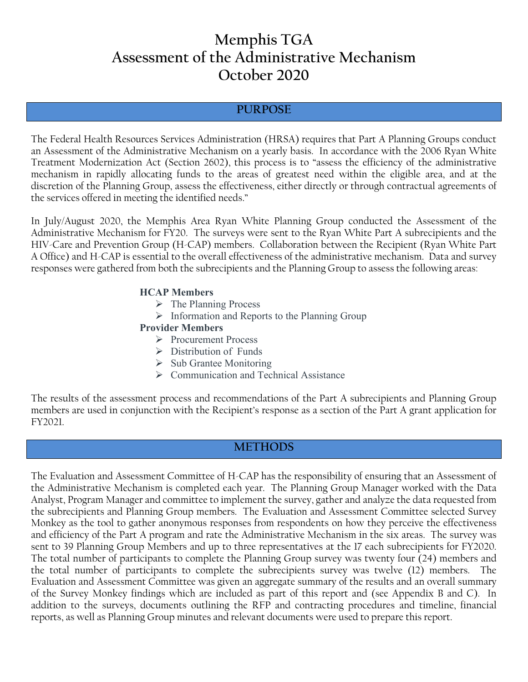# **Memphis TGA Assessment of the Administrative Mechanism October 2020**

#### **PURPOSE**

The Federal Health Resources Services Administration (HRSA) requires that Part A Planning Groups conduct an Assessment of the Administrative Mechanism on a yearly basis. In accordance with the 2006 Ryan White Treatment Modernization Act (Section 2602), this process is to "assess the efficiency of the administrative mechanism in rapidly allocating funds to the areas of greatest need within the eligible area, and at the discretion of the Planning Group, assess the effectiveness, either directly or through contractual agreements of the services offered in meeting the identified needs."

In July/August 2020, the Memphis Area Ryan White Planning Group conducted the Assessment of the Administrative Mechanism for FY20. The surveys were sent to the Ryan White Part A subrecipients and the HIV-Care and Prevention Group (H-CAP) members. Collaboration between the Recipient (Ryan White Part A Office) and H-CAP is essential to the overall effectiveness of the administrative mechanism. Data and survey responses were gathered from both the subrecipients and the Planning Group to assess the following areas:

#### **HCAP Members**

- $\triangleright$  The Planning Process
- $\triangleright$  Information and Reports to the Planning Group

#### **Provider Members**

- Procurement Process
- $\triangleright$  Distribution of Funds
- $\triangleright$  Sub Grantee Monitoring
- ▶ Communication and Technical Assistance

The results of the assessment process and recommendations of the Part A subrecipients and Planning Group members are used in conjunction with the Recipient's response as a section of the Part A grant application for FY2021.

## **METHODS**

The Evaluation and Assessment Committee of H-CAP has the responsibility of ensuring that an Assessment of the Administrative Mechanism is completed each year. The Planning Group Manager worked with the Data Analyst, Program Manager and committee to implement the survey, gather and analyze the data requested from the subrecipients and Planning Group members. The Evaluation and Assessment Committee selected Survey Monkey as the tool to gather anonymous responses from respondents on how they perceive the effectiveness and efficiency of the Part A program and rate the Administrative Mechanism in the six areas. The survey was sent to 39 Planning Group Members and up to three representatives at the 17 each subrecipients for FY2020. The total number of participants to complete the Planning Group survey was twenty four (24) members and the total number of participants to complete the subrecipients survey was twelve (12) members. The Evaluation and Assessment Committee was given an aggregate summary of the results and an overall summary of the Survey Monkey findings which are included as part of this report and (see Appendix B and C). In addition to the surveys, documents outlining the RFP and contracting procedures and timeline, financial reports, as well as Planning Group minutes and relevant documents were used to prepare this report.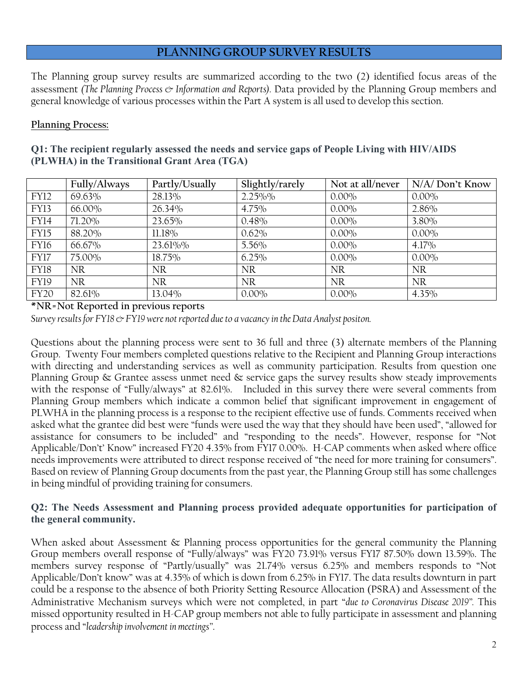## **PLANNING GROUP SURVEY RESULTS**

The Planning group survey results are summarized according to the two (2) identified focus areas of the assessment *(The Planning Process & Information and Reports)*. Data provided by the Planning Group members and general knowledge of various processes within the Part A system is all used to develop this section.

#### **Planning Process:**

| Q1: The recipient regularly assessed the needs and service gaps of People Living with HIV/AIDS |  |
|------------------------------------------------------------------------------------------------|--|
| (PLWHA) in the Transitional Grant Area (TGA)                                                   |  |

|             | Fully/Always | Partly/Usually | Slightly/rarely | Not at all/never | N/A/Don't Know |
|-------------|--------------|----------------|-----------------|------------------|----------------|
| <b>FY12</b> | 69.63%       | 28.13%         | 2.25%%          | $0.00\%$         | $0.00\%$       |
| <b>FY13</b> | 66.00%       | 26.34%         | 4.75%           | $0.00\%$         | 2.86%          |
| <b>FY14</b> | 71.20%       | 23.65%         | 0.48%           | $0.00\%$         | 3.80%          |
| FY15        | 88.20%       | 11.18%         | 0.62%           | $0.00\%$         | $0.00\%$       |
| FY16        | 66.67%       | 23.61%%        | 5.56%           | $0.00\%$         | 4.17%          |
| FY17        | 75.00%       | 18.75%         | 6.25%           | $0.00\%$         | $0.00\%$       |
| <b>FY18</b> | NR.          | <b>NR</b>      | <b>NR</b>       | <b>NR</b>        | <b>NR</b>      |
| <b>FY19</b> | <b>NR</b>    | <b>NR</b>      | <b>NR</b>       | <b>NR</b>        | <b>NR</b>      |
| <b>FY20</b> | 82.61%       | 13.04%         | $0.00\%$        | $0.00\%$         | 4.35%          |

**\*NR=Not Reported in previous reports**

*Survey results for FY18 & FY19 were not reported due to a vacancy in the Data Analyst positon.* 

Questions about the planning process were sent to 36 full and three (3) alternate members of the Planning Group. Twenty Four members completed questions relative to the Recipient and Planning Group interactions with directing and understanding services as well as community participation. Results from question one Planning Group & Grantee assess unmet need & service gaps the survey results show steady improvements with the response of "Fully/always" at 82.61%. Included in this survey there were several comments from Planning Group members which indicate a common belief that significant improvement in engagement of PLWHA in the planning process is a response to the recipient effective use of funds. Comments received when asked what the grantee did best were "funds were used the way that they should have been used", "allowed for assistance for consumers to be included" and "responding to the needs". However, response for "Not Applicable/Don't' Know" increased FY20 4.35% from FY17 0.00%. H-CAP comments when asked where office needs improvements were attributed to direct response received of "the need for more training for consumers". Based on review of Planning Group documents from the past year, the Planning Group still has some challenges in being mindful of providing training for consumers.

#### **Q2: The Needs Assessment and Planning process provided adequate opportunities for participation of the general community.**

When asked about Assessment & Planning process opportunities for the general community the Planning Group members overall response of "Fully/always" was FY20 73.91% versus FY17 87.50% down 13.59%. The members survey response of "Partly/usually" was 21.74% versus 6.25% and members responds to "Not Applicable/Don't know" was at 4.35% of which is down from 6.25% in FY17. The data results downturn in part could be a response to the absence of both Priority Setting Resource Allocation (PSRA) and Assessment of the Administrative Mechanism surveys which were not completed, in part "*due to Coronavirus Disease 2019".* This missed opportunity resulted in H-CAP group members not able to fully participate in assessment and planning process and "*leadership involvement in meetings"*.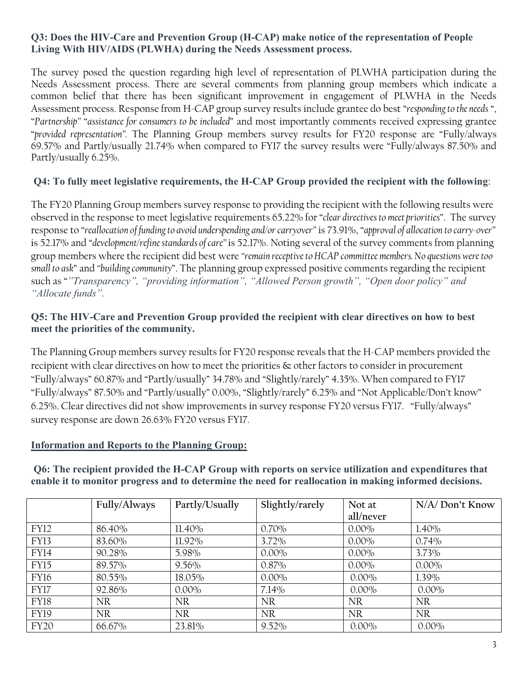### **Q3: Does the HIV-Care and Prevention Group (H-CAP) make notice of the representation of People Living With HIV/AIDS (PLWHA) during the Needs Assessment process.**

The survey posed the question regarding high level of representation of PLWHA participation during the Needs Assessment process. There are several comments from planning group members which indicate a common belief that there has been significant improvement in engagement of PLWHA in the Needs Assessment process. Response from H-CAP group survey results include grantee do best "*responding to the needs* ", "*Partnership"* "*assistance for consumers to be included*" and most importantly comments received expressing grantee "*provided representation".* The Planning Group members survey results for FY20 response are "Fully/always 69.57% and Partly/usually 21.74% when compared to FY17 the survey results were "Fully/always 87.50% and Partly/usually 6.25%.

## **Q4: To fully meet legislative requirements, the H-CAP Group provided the recipient with the following**:

The FY20 Planning Group members survey response to providing the recipient with the following results were observed in the response to meet legislative requirements 65.22% for "*clear directives to meet priorities*". The survey response to "*reallocation of funding to avoid underspending and/or carryover"* is 73.91%, "*approval of allocation to carry-over"* is 52.17% and "*development/refine standards of care"* is 52.17%. Noting several of the survey comments from planning group members where the recipient did best were *"remain receptive to HCAP committee members. No questions were too small to ask*" and *"building community*". The planning group expressed positive comments regarding the recipient such as "*"Transparency", "providing information", "Allowed Person growth", "Open door policy" and "Allocate funds".*

### **Q5: The HIV-Care and Prevention Group provided the recipient with clear directives on how to best meet the priorities of the community.**

The Planning Group members survey results for FY20 response reveals that the H-CAP members provided the recipient with clear directives on how to meet the priorities & other factors to consider in procurement "Fully/always" 60.87% and "Partly/usually" 34.78% and "Slightly/rarely" 4.35%. When compared to FY17 "Fully/always" 87.50% and "Partly/usually" 0.00%, "Slightly/rarely" 6.25% and "Not Applicable/Don't know" 6.25%. Clear directives did not show improvements in survey response FY20 versus FY17. "Fully/always" survey response are down 26.63% FY20 versus FY17.

#### **Information and Reports to the Planning Group:**

**Q6: The recipient provided the H-CAP Group with reports on service utilization and expenditures that enable it to monitor progress and to determine the need for reallocation in making informed decisions.**

|             | Fully/Always | Partly/Usually | Slightly/rarely | Not at    | $N/A$ Don't Know |
|-------------|--------------|----------------|-----------------|-----------|------------------|
|             |              |                |                 | all/never |                  |
| <b>FY12</b> | 86.40%       | $11.40\%$      | 0.70%           | $0.00\%$  | $1.40\%$         |
| <b>FY13</b> | 83.60%       | $11.92\%$      | $3.72\%$        | $0.00\%$  | 0.74%            |
| FY14        | 90.28%       | 5.98%          | $0.00\%$        | $0.00\%$  | 3.73%            |
| FY15        | 89.57%       | $9.56\%$       | $0.87\%$        | $0.00\%$  | $0.00\%$         |
| FY16        | 80.55%       | 18.05%         | $0.00\%$        | $0.00\%$  | 1.39%            |
| FY17        | 92.86%       | $0.00\%$       | 7.14%           | $0.00\%$  | $0.00\%$         |
| FY18        | NR.          | <b>NR</b>      | <b>NR</b>       | <b>NR</b> | <b>NR</b>        |
| <b>FY19</b> | NR.          | <b>NR</b>      | <b>NR</b>       | <b>NR</b> | <b>NR</b>        |
| <b>FY20</b> | 66.67%       | 23.81%         | $9.52\%$        | $0.00\%$  | $0.00\%$         |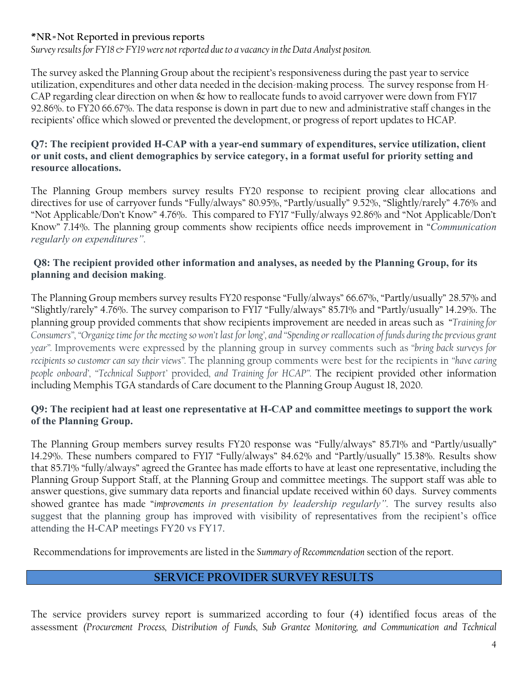## **\*NR=Not Reported in previous reports**

*Survey results for FY18 & FY19 were not reported due to a vacancy in the Data Analyst positon.* 

The survey asked the Planning Group about the recipient's responsiveness during the past year to service utilization, expenditures and other data needed in the decision-making process. The survey response from H-CAP regarding clear direction on when & how to reallocate funds to avoid carryover were down from FY17 92.86%. to FY20 66.67%. The data response is down in part due to new and administrative staff changes in the recipients' office which slowed or prevented the development, or progress of report updates to HCAP.

#### **Q7: The recipient provided H-CAP with a year-end summary of expenditures, service utilization, client or unit costs, and client demographics by service category, in a format useful for priority setting and resource allocations.**

The Planning Group members survey results FY20 response to recipient proving clear allocations and directives for use of carryover funds "Fully/always" 80.95%, "Partly/usually" 9.52%, "Slightly/rarely" 4.76% and "Not Applicable/Don't Know" 4.76%. This compared to FY17 "Fully/always 92.86% and "Not Applicable/Don't Know" 7.14%. The planning group comments show recipients office needs improvement in "*Communication regularly on expenditures".* 

### **Q8: The recipient provided other information and analyses, as needed by the Planning Group, for its planning and decision making**.

The Planning Group members survey results FY20 response "Fully/always" 66.67%, "Partly/usually" 28.57% and "Slightly/rarely" 4.76%. The survey comparison to FY17 "Fully/always" 85.71% and "Partly/usually" 14.29%. The planning group provided comments that show recipients improvement are needed in areas such as "*Training for Consumers", "Organize time for the meeting so won't last for long', and "Spending or reallocation of funds during the previous grant year".* Improvements were expressed by the planning group in survey comments such as *"bring back surveys for recipients so customer can say their views".* The planning group comments were best for the recipients in *"have caring people onboard', "Technical Support'* provided*, and Training for HCAP".* The recipient provided other information including Memphis TGA standards of Care document to the Planning Group August 18, 2020.

### **Q9: The recipient had at least one representative at H-CAP and committee meetings to support the work of the Planning Group.**

The Planning Group members survey results FY20 response was "Fully/always" 85.71% and "Partly/usually" 14.29%. These numbers compared to FY17 "Fully/always" 84.62% and "Partly/usually" 15.38%. Results show that 85.71% "fully/always" agreed the Grantee has made efforts to have at least one representative, including the Planning Group Support Staff, at the Planning Group and committee meetings. The support staff was able to answer questions, give summary data reports and financial update received within 60 days. Survey comments showed grantee has made "*improvements in presentation by leadership regularly".* The survey results also suggest that the planning group has improved with visibility of representatives from the recipient's office attending the H-CAP meetings FY20 vs FY17.

Recommendations for improvements are listed in the *Summary of Recommendation* section of the report.

## **SERVICE PROVIDER SURVEY RESULTS**

The service providers survey report is summarized according to four (4) identified focus areas of the assessment *(Procurement Process, Distribution of Funds, Sub Grantee Monitoring, and Communication and Technical*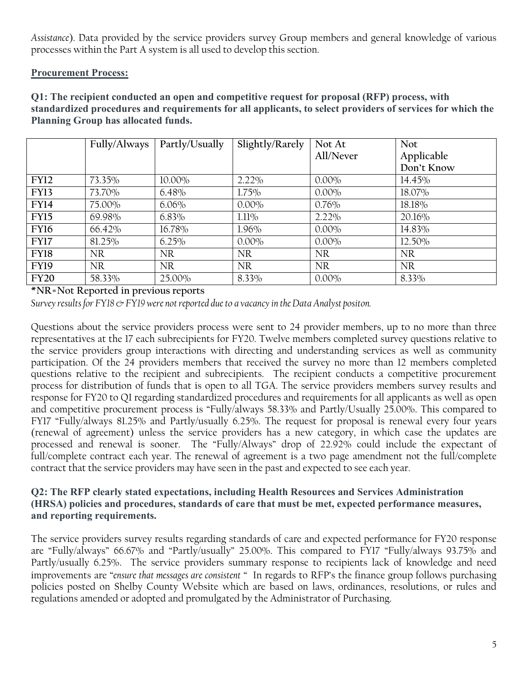*Assistance*). Data provided by the service providers survey Group members and general knowledge of various processes within the Part A system is all used to develop this section.

### **Procurement Process:**

**Q1: The recipient conducted an open and competitive request for proposal (RFP) process, with standardized procedures and requirements for all applicants, to select providers of services for which the Planning Group has allocated funds.** 

|                  | Fully/Always | Partly/Usually | Slightly/Rarely | Not At    | Not        |
|------------------|--------------|----------------|-----------------|-----------|------------|
|                  |              |                |                 | All/Never | Applicable |
|                  |              |                |                 |           | Don't Know |
| <b>FY12</b>      | 73.35%       | $10.00\%$      | $2.22\%$        | $0.00\%$  | 14.45%     |
| FY <sub>13</sub> | 73.70%       | 6.48%          | 1.75%           | $0.00\%$  | 18.07%     |
| <b>FY14</b>      | 75.00%       | $6.06\%$       | $0.00\%$        | $0.76\%$  | 18.18%     |
| <b>FY15</b>      | 69.98%       | $6.83\%$       | 1.11%           | $2.22\%$  | 20.16%     |
| <b>FY16</b>      | 66.42%       | 16.78%         | $1.96\%$        | $0.00\%$  | 14.83%     |
| <b>FY17</b>      | 81.25%       | 6.25%          | $0.00\%$        | $0.00\%$  | 12.50%     |
| <b>FY18</b>      | <b>NR</b>    | <b>NR</b>      | <b>NR</b>       | <b>NR</b> | <b>NR</b>  |
| <b>FY19</b>      | <b>NR</b>    | <b>NR</b>      | <b>NR</b>       | <b>NR</b> | <b>NR</b>  |
| <b>FY20</b>      | 58.33%       | 25.00%         | 8.33%           | $0.00\%$  | 8.33%      |

**\*NR=Not Reported in previous reports**

*Survey results for FY18 & FY19 were not reported due to a vacancy in the Data Analyst positon.* 

Questions about the service providers process were sent to 24 provider members, up to no more than three representatives at the 17 each subrecipients for FY20. Twelve members completed survey questions relative to the service providers group interactions with directing and understanding services as well as community participation. Of the 24 providers members that received the survey no more than 12 members completed questions relative to the recipient and subrecipients. The recipient conducts a competitive procurement process for distribution of funds that is open to all TGA. The service providers members survey results and response for FY20 to Q1 regarding standardized procedures and requirements for all applicants as well as open and competitive procurement process is "Fully/always 58.33% and Partly/Usually 25.00%. This compared to FY17 "Fully/always 81.25% and Partly/usually 6.25%. The request for proposal is renewal every four years (renewal of agreement) unless the service providers has a new category, in which case the updates are processed and renewal is sooner. The "Fully/Always" drop of 22.92% could include the expectant of full/complete contract each year. The renewal of agreement is a two page amendment not the full/complete contract that the service providers may have seen in the past and expected to see each year.

#### **Q2: The RFP clearly stated expectations, including Health Resources and Services Administration (HRSA) policies and procedures, standards of care that must be met, expected performance measures, and reporting requirements.**

The service providers survey results regarding standards of care and expected performance for FY20 response are "Fully/always" 66.67% and "Partly/usually" 25.00%. This compared to FY17 "Fully/always 93.75% and Partly/usually 6.25%. The service providers summary response to recipients lack of knowledge and need improvements are "*ensure that messages are consistent* " In regards to RFP's the finance group follows purchasing policies posted on Shelby County Website which are based on laws, ordinances, resolutions, or rules and regulations amended or adopted and promulgated by the Administrator of Purchasing.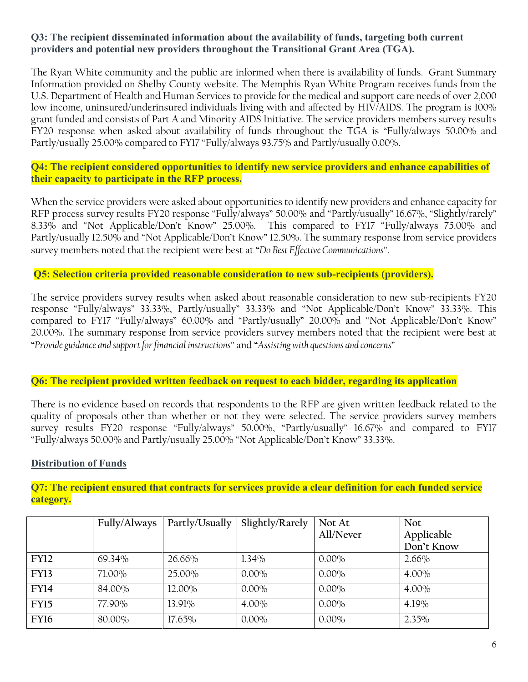#### **Q3: The recipient disseminated information about the availability of funds, targeting both current providers and potential new providers throughout the Transitional Grant Area (TGA).**

The Ryan White community and the public are informed when there is availability of funds. Grant Summary Information provided on Shelby County website. The Memphis Ryan White Program receives funds from the U.S. Department of Health and Human Services to provide for the medical and support care needs of over 2,000 low income, uninsured/underinsured individuals living with and affected by HIV/AIDS. The program is 100% grant funded and consists of Part A and Minority AIDS Initiative. The service providers members survey results FY20 response when asked about availability of funds throughout the TGA is "Fully/always 50.00% and Partly/usually 25.00% compared to FY17 "Fully/always 93.75% and Partly/usually 0.00%.

#### **Q4: The recipient considered opportunities to identify new service providers and enhance capabilities of their capacity to participate in the RFP process.**

When the service providers were asked about opportunities to identify new providers and enhance capacity for RFP process survey results FY20 response "Fully/always" 50.00% and "Partly/usually" 16.67%, "Slightly/rarely" 8.33% and "Not Applicable/Don't Know" 25.00%. This compared to FY17 "Fully/always 75.00% and Partly/usually 12.50% and "Not Applicable/Don't Know" 12.50%. The summary response from service providers survey members noted that the recipient were best at "*Do Best Effective Communications*".

#### **Q5: Selection criteria provided reasonable consideration to new sub-recipients (providers).**

The service providers survey results when asked about reasonable consideration to new sub-recipients FY20 response "Fully/always" 33.33%, Partly/usually" 33.33% and "Not Applicable/Don't Know" 33.33%. This compared to FY17 "Fully/always" 60.00% and "Partly/usually" 20.00% and "Not Applicable/Don't Know" 20.00%. The summary response from service providers survey members noted that the recipient were best at "*Provide guidance and support for financial instructions*" and "*Assisting with questions and concerns*"

## **Q6: The recipient provided written feedback on request to each bidder, regarding its application**

There is no evidence based on records that respondents to the RFP are given written feedback related to the quality of proposals other than whether or not they were selected. The service providers survey members survey results FY20 response "Fully/always" 50.00%, "Partly/usually" 16.67% and compared to FY17 "Fully/always 50.00% and Partly/usually 25.00% "Not Applicable/Don't Know" 33.33%.

#### **Distribution of Funds**

**Q7: The recipient ensured that contracts for services provide a clear definition for each funded service category.** 

|             | Fully/Always | Partly/Usually | Slightly/Rarely | Not At    | <b>Not</b> |
|-------------|--------------|----------------|-----------------|-----------|------------|
|             |              |                |                 | All/Never | Applicable |
|             |              |                |                 |           | Don't Know |
| <b>FY12</b> | 69.34%       | 26.66%         | $1.34\%$        | $0.00\%$  | $2.66\%$   |
| <b>FY13</b> | 71.00%       | 25.00%         | $0.00\%$        | $0.00\%$  | $4.00\%$   |
| <b>FY14</b> | 84.00%       | 12.00%         | $0.00\%$        | $0.00\%$  | $4.00\%$   |
| <b>FY15</b> | 77.90%       | 13.91%         | $4.00\%$        | $0.00\%$  | 4.19%      |
| <b>FY16</b> | 80.00%       | 17.65%         | $0.00\%$        | $0.00\%$  | 2.35%      |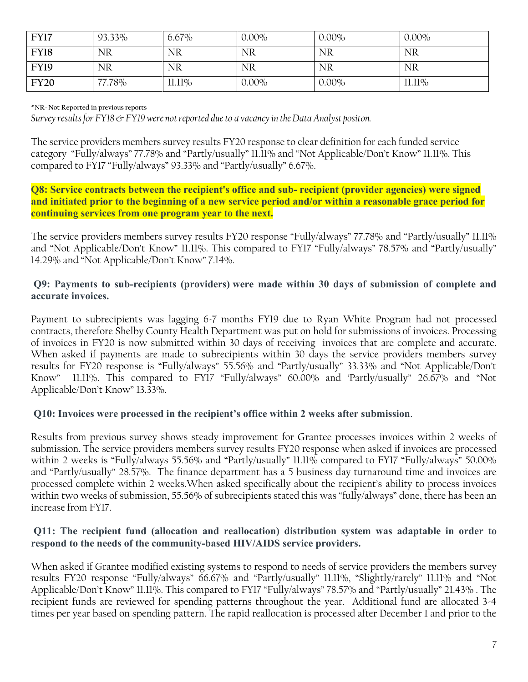| <b>FY17</b> | 93.33%    | $6.67\%$  | $0.00\%$  | $0.00\%$  | $0.00\%$ |
|-------------|-----------|-----------|-----------|-----------|----------|
| FY18        | <b>NR</b> | <b>NR</b> | <b>NR</b> | <b>NR</b> | NR       |
| <b>FY19</b> | <b>NR</b> | <b>NR</b> | <b>NR</b> | <b>NR</b> | NR       |
| <b>FY20</b> | 77.78%    | 11.11%    | $0.00\%$  | $0.00\%$  | 11.11%   |

**\*NR=Not Reported in previous reports**

*Survey results for FY18 & FY19 were not reported due to a vacancy in the Data Analyst positon.* 

The service providers members survey results FY20 response to clear definition for each funded service category "Fully/always" 77.78% and "Partly/usually" 11.11% and "Not Applicable/Don't Know" 11.11%. This compared to FY17 "Fully/always" 93.33% and "Partly/usually" 6.67%.

**Q8: Service contracts between the recipient's office and sub- recipient (provider agencies) were signed and initiated prior to the beginning of a new service period and/or within a reasonable grace period for continuing services from one program year to the next.**

The service providers members survey results FY20 response "Fully/always" 77.78% and "Partly/usually" 11.11% and "Not Applicable/Don't Know" 11.11%. This compared to FY17 "Fully/always" 78.57% and "Partly/usually" 14.29% and "Not Applicable/Don't Know" 7.14%.

#### **Q9: Payments to sub-recipients (providers) were made within 30 days of submission of complete and accurate invoices.**

Payment to subrecipients was lagging 6-7 months FY19 due to Ryan White Program had not processed contracts, therefore Shelby County Health Department was put on hold for submissions of invoices. Processing of invoices in FY20 is now submitted within 30 days of receiving invoices that are complete and accurate. When asked if payments are made to subrecipients within 30 days the service providers members survey results for FY20 response is "Fully/always" 55.56% and "Partly/usually" 33.33% and "Not Applicable/Don't Know" 11.11%. This compared to FY17 "Fully/always" 60.00% and 'Partly/usually" 26.67% and "Not Applicable/Don't Know" 13.33%.

## **Q10: Invoices were processed in the recipient's office within 2 weeks after submission**.

Results from previous survey shows steady improvement for Grantee processes invoices within 2 weeks of submission. The service providers members survey results FY20 response when asked if invoices are processed within 2 weeks is "Fully/always 55.56% and "Partly/usually" 11.11% compared to FY17 "Fully/always" 50.00% and "Partly/usually" 28.57%. The finance department has a 5 business day turnaround time and invoices are processed complete within 2 weeks.When asked specifically about the recipient's ability to process invoices within two weeks of submission, 55.56% of subrecipients stated this was "fully/always" done, there has been an increase from FY17.

#### **Q11: The recipient fund (allocation and reallocation) distribution system was adaptable in order to respond to the needs of the community-based HIV/AIDS service providers.**

When asked if Grantee modified existing systems to respond to needs of service providers the members survey results FY20 response "Fully/always" 66.67% and "Partly/usually" 11.11%, "Slightly/rarely" 11.11% and "Not Applicable/Don't Know" 11.11%. This compared to FY17 "Fully/always" 78.57% and "Partly/usually" 21.43% . The recipient funds are reviewed for spending patterns throughout the year. Additional fund are allocated 3-4 times per year based on spending pattern. The rapid reallocation is processed after December 1 and prior to the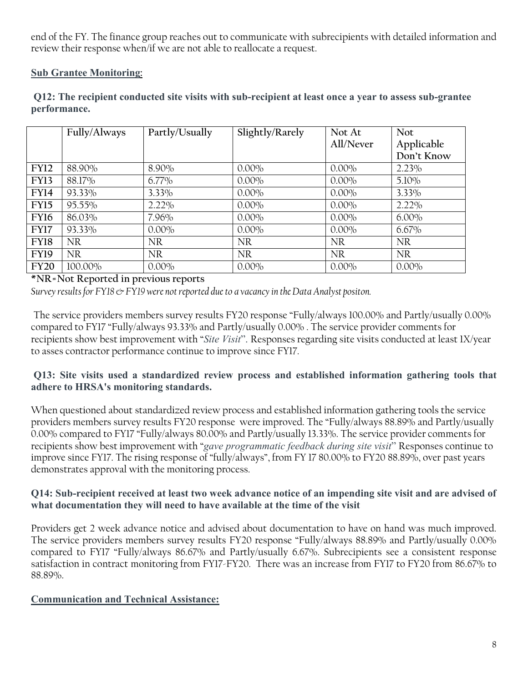end of the FY. The finance group reaches out to communicate with subrecipients with detailed information and review their response when/if we are not able to reallocate a request.

## **Sub Grantee Monitoring:**

|             | Fully/Always | Partly/Usually | Slightly/Rarely | Not At<br>All/Never | <b>Not</b><br>Applicable<br>Don't Know |
|-------------|--------------|----------------|-----------------|---------------------|----------------------------------------|
| <b>FY12</b> | 88.90%       | 8.90%          | $0.00\%$        | $0.00\%$            | $2.23\%$                               |
| <b>FY13</b> | 88.17%       | $6.77\%$       | $0.00\%$        | $0.00\%$            | $5.10\%$                               |
| <b>FY14</b> | 93.33%       | 3.33%          | $0.00\%$        | $0.00\%$            | 3.33%                                  |
| <b>FY15</b> | 95.55%       | $2.22\%$       | $0.00\%$        | $0.00\%$            | $2.22\%$                               |
| <b>FY16</b> | 86.03%       | 7.96%          | $0.00\%$        | $0.00\%$            | $6.00\%$                               |
| <b>FY17</b> | 93.33%       | $0.00\%$       | $0.00\%$        | $0.00\%$            | $6.67\%$                               |
| FY18        | NR           | <b>NR</b>      | <b>NR</b>       | <b>NR</b>           | <b>NR</b>                              |
| <b>FY19</b> | NR.          | NR.            | <b>NR</b>       | <b>NR</b>           | NR.                                    |
| <b>FY20</b> | 100.00%      | $0.00\%$       | $0.00\%$        | $0.00\%$            | $0.00\%$                               |

**Q12: The recipient conducted site visits with sub-recipient at least once a year to assess sub-grantee performance.** 

#### **\*NR=Not Reported in previous reports**

*Survey results for FY18 & FY19 were not reported due to a vacancy in the Data Analyst positon.* 

The service providers members survey results FY20 response "Fully/always 100.00% and Partly/usually 0.00% compared to FY17 "Fully/always 93.33% and Partly/usually 0.00% . The service provider comments for recipients show best improvement with "*Site Visit*". Responses regarding site visits conducted at least 1X/year to asses contractor performance continue to improve since FY17.

### **Q13: Site visits used a standardized review process and established information gathering tools that adhere to HRSA's monitoring standards.**

When questioned about standardized review process and established information gathering tools the service providers members survey results FY20 response were improved. The "Fully/always 88.89% and Partly/usually 0.00% compared to FY17 "Fully/always 80.00% and Partly/usually 13.33%. The service provider comments for recipients show best improvement with "*gave programmatic feedback during site visit*" Responses continue to improve since FY17. The rising response of "fully/always", from FY 17 80.00% to FY20 88.89%, over past years demonstrates approval with the monitoring process.

### **Q14: Sub-recipient received at least two week advance notice of an impending site visit and are advised of what documentation they will need to have available at the time of the visit**

Providers get 2 week advance notice and advised about documentation to have on hand was much improved. The service providers members survey results FY20 response "Fully/always 88.89% and Partly/usually 0.00% compared to FY17 "Fully/always 86.67% and Partly/usually 6.67%. Subrecipients see a consistent response satisfaction in contract monitoring from FY17-FY20. There was an increase from FY17 to FY20 from 86.67% to 88.89%.

## **Communication and Technical Assistance:**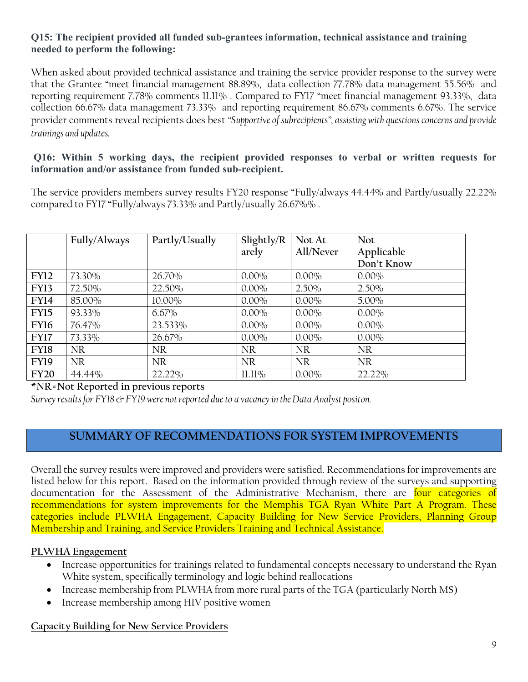## **Q15: The recipient provided all funded sub-grantees information, technical assistance and training needed to perform the following:**

When asked about provided technical assistance and training the service provider response to the survey were that the Grantee "meet financial management 88.89%, data collection 77.78% data management 55.56% and reporting requirement 7.78% comments 11.11% . Compared to FY17 "meet financial management 93.33%, data collection 66.67% data management 73.33% and reporting requirement 86.67% comments 6.67%. The service provider comments reveal recipients does best *"Supportive of subrecipients", assisting with questions concerns and provide trainings and updates.* 

### **Q16: Within 5 working days, the recipient provided responses to verbal or written requests for information and/or assistance from funded sub-recipient.**

The service providers members survey results FY20 response "Fully/always 44.44% and Partly/usually 22.22% compared to FY17 "Fully/always 73.33% and Partly/usually 26.67%% .

|             | Fully/Always | Partly/Usually | Slightly/R | Not At    | <b>Not</b> |
|-------------|--------------|----------------|------------|-----------|------------|
|             |              |                | arely      | All/Never | Applicable |
|             |              |                |            |           | Don't Know |
| <b>FY12</b> | 73.30%       | 26.70%         | $0.00\%$   | $0.00\%$  | $0.00\%$   |
| <b>FY13</b> | 72.50%       | 22.50%         | $0.00\%$   | $2.50\%$  | $2.50\%$   |
| <b>FY14</b> | 85.00%       | $10.00\%$      | $0.00\%$   | $0.00\%$  | $5.00\%$   |
| <b>FY15</b> | 93.33%       | $6.67\%$       | $0.00\%$   | $0.00\%$  | $0.00\%$   |
| FY16        | 76.47%       | 23.533%        | $0.00\%$   | $0.00\%$  | $0.00\%$   |
| FY17        | 73.33%       | 26.67%         | $0.00\%$   | $0.00\%$  | $0.00\%$   |
| <b>FY18</b> | <b>NR</b>    | <b>NR</b>      | <b>NR</b>  | <b>NR</b> | <b>NR</b>  |
| <b>FY19</b> | <b>NR</b>    | <b>NR</b>      | <b>NR</b>  | <b>NR</b> | <b>NR</b>  |
| <b>FY20</b> | 44.44%       | 22.22%         | 11.11%     | $0.00\%$  | 22.22%     |

**\*NR=Not Reported in previous reports**

*Survey results for FY18 & FY19 were not reported due to a vacancy in the Data Analyst positon.* 

# **SUMMARY OF RECOMMENDATIONS FOR SYSTEM IMPROVEMENTS**

Overall the survey results were improved and providers were satisfied. Recommendations for improvements are listed below for this report. Based on the information provided through review of the surveys and supporting documentation for the Assessment of the Administrative Mechanism, there are four categories of recommendations for system improvements for the Memphis TGA Ryan White Part A Program. These categories include PLWHA Engagement, Capacity Building for New Service Providers, Planning Group Membership and Training, and Service Providers Training and Technical Assistance.

## **PLWHA Engagement**

- Increase opportunities for trainings related to fundamental concepts necessary to understand the Ryan White system, specifically terminology and logic behind reallocations
- Increase membership from PLWHA from more rural parts of the TGA (particularly North MS)
- Increase membership among HIV positive women

#### **Capacity Building for New Service Providers**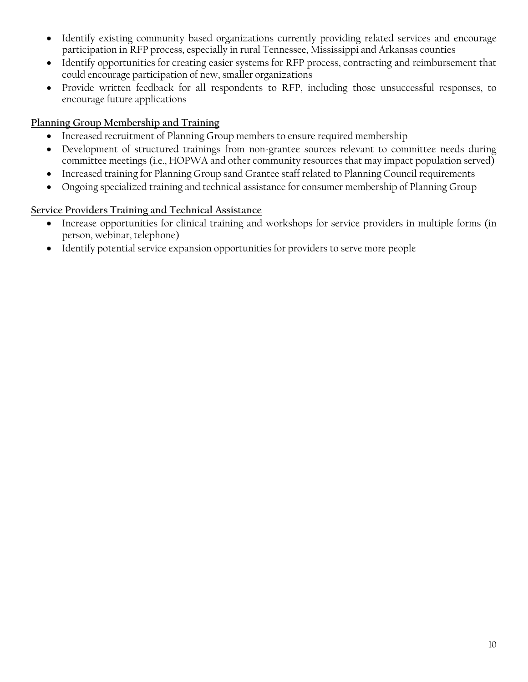- Identify existing community based organizations currently providing related services and encourage participation in RFP process, especially in rural Tennessee, Mississippi and Arkansas counties
- Identify opportunities for creating easier systems for RFP process, contracting and reimbursement that could encourage participation of new, smaller organizations
- Provide written feedback for all respondents to RFP, including those unsuccessful responses, to encourage future applications

## **Planning Group Membership and Training**

- Increased recruitment of Planning Group members to ensure required membership
- Development of structured trainings from non-grantee sources relevant to committee needs during committee meetings (i.e., HOPWA and other community resources that may impact population served)
- Increased training for Planning Group sand Grantee staff related to Planning Council requirements
- Ongoing specialized training and technical assistance for consumer membership of Planning Group

# **Service Providers Training and Technical Assistance**

- Increase opportunities for clinical training and workshops for service providers in multiple forms (in person, webinar, telephone)
- Identify potential service expansion opportunities for providers to serve more people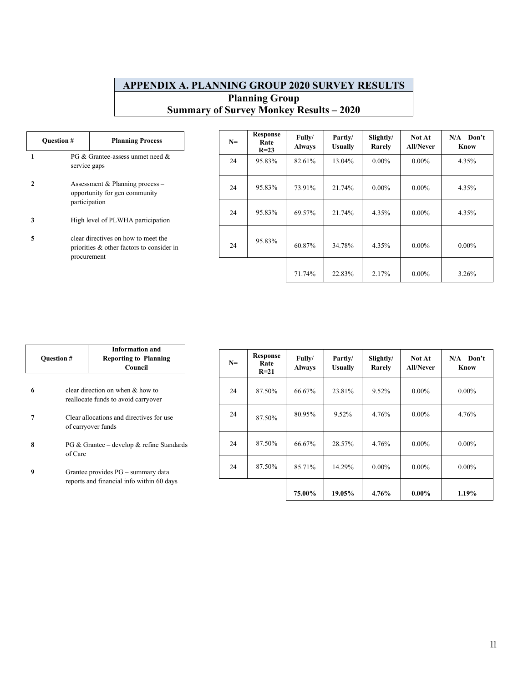## **APPENDIX A. PLANNING GROUP 2020 SURVEY RESULTS Planning Group Summary of Survey Monkey Results – 2020**

| <b>Question #</b> |                                                                                                 | <b>Planning Process</b>                                                                                                  |  | $N=$ | Response<br>Rate<br>$R=23$ | Fully/<br><b>Always</b> | Partly/<br><b>Usually</b> | Slightly/<br>Rarely | <b>Not At</b><br><b>All/Never</b> | $N/A - Don't$<br>Know |
|-------------------|-------------------------------------------------------------------------------------------------|--------------------------------------------------------------------------------------------------------------------------|--|------|----------------------------|-------------------------|---------------------------|---------------------|-----------------------------------|-----------------------|
|                   | PG & Grantee-assess unmet need &<br>service gaps                                                |                                                                                                                          |  | 24   | 95.83%                     | 82.61%                  | 13.04%                    | $0.00\%$            | $0.00\%$                          | 4.35%                 |
| $\mathbf{2}$      |                                                                                                 | Assessment & Planning process $-$<br>opportunity for gen community<br>participation<br>High level of PLWHA participation |  | 24   | 95.83%                     | 73.91%                  | 21.74%                    | $0.00\%$            | $0.00\%$                          | 4.35%                 |
| 3                 |                                                                                                 |                                                                                                                          |  | 24   | 95.83%                     | 69.57%                  | 21.74%                    | 4.35%               | $0.00\%$                          | 4.35%                 |
| 5                 | clear directives on how to meet the<br>priorities & other factors to consider in<br>procurement |                                                                                                                          |  | 24   | 95.83%                     | 60.87%                  | 34.78%                    | 4.35%               | $0.00\%$                          | $0.00\%$              |
|                   |                                                                                                 |                                                                                                                          |  |      |                            | 71.74%                  | 22.83%                    | 2.17%               | $0.00\%$                          | 3.26%                 |

|   |                                                                         | <b>Information and</b>                                         |      |                            |                         |                           |                     |                                   |                       |
|---|-------------------------------------------------------------------------|----------------------------------------------------------------|------|----------------------------|-------------------------|---------------------------|---------------------|-----------------------------------|-----------------------|
|   | <b>Question #</b><br><b>Reporting to Planning</b><br>Council            |                                                                | $N=$ | Response<br>Rate<br>$R=21$ | Fully/<br><b>Always</b> | Partly/<br><b>Usually</b> | Slightly/<br>Rarely | <b>Not At</b><br><b>All/Never</b> | $N/A - Don't$<br>Know |
| 6 | clear direction on when & how to<br>reallocate funds to avoid carryover |                                                                | 24   | 87.50%                     | 66.67%                  | 23.81%                    | 9.52%               | $0.00\%$                          | $0.00\%$              |
|   |                                                                         | Clear allocations and directives for use<br>of carryover funds |      | 87.50%                     | 80.95%                  | 9.52%                     | 4.76%               | $0.00\%$                          | 4.76%                 |
| 8 | of Care                                                                 | $PG & Grantee - develop & refine Standards$                    |      | 87.50%                     | 66.67%                  | 28.57%                    | 4.76%               | $0.00\%$                          | $0.00\%$              |
| 9 | Grantee provides PG – summary data                                      |                                                                | 24   | 87.50%                     | 85.71%                  | 14.29%                    | $0.00\%$            | $0.00\%$                          | $0.00\%$              |
|   |                                                                         | reports and financial info within 60 days                      |      |                            | 75.00%                  | 19.05%                    | 4.76%               | $0.00\%$                          | 1.19%                 |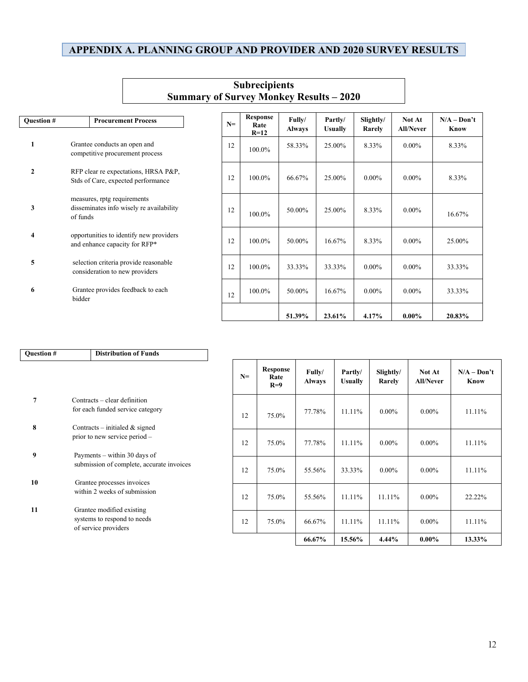## **APPENDIX A. PLANNING GROUP AND PROVIDER AND 2020 SURVEY RESULTS**

|                   |                                                                                     |                              |                                   |        |        | Summary of Survey Monkey Results – 2020 |                         |                           |                     |                            |                              |
|-------------------|-------------------------------------------------------------------------------------|------------------------------|-----------------------------------|--------|--------|-----------------------------------------|-------------------------|---------------------------|---------------------|----------------------------|------------------------------|
| <b>Ouestion #</b> |                                                                                     |                              | <b>Procurement Process</b>        |        | $N=$   | <b>Response</b><br>Rate<br>$R=12$       | Fully/<br><b>Always</b> | Partly/<br><b>Usually</b> | Slightly/<br>Rarely | Not At<br><b>All/Never</b> | $N/A - Don't$<br><b>Know</b> |
| 1                 |                                                                                     | Grantee conducts an open and | competitive procurement process   |        | 12     | 100.0%                                  | 58.33%                  | 25.00%                    | 8.33%               | $0.00\%$                   | 8.33%                        |
| $\mathbf{2}$      | RFP clear re expectations, HRSA P&P,<br>Stds of Care, expected performance          |                              | 12                                | 100.0% | 66.67% | 25.00%                                  | $0.00\%$                | $0.00\%$                  | 8.33%               |                            |                              |
| 3                 | measures, rptg requirements<br>disseminates info wisely re availability<br>of funds |                              | 12                                | 100.0% | 50.00% | 25.00%                                  | 8.33%                   | $0.00\%$                  | 16.67%              |                            |                              |
| 4                 | opportunities to identify new providers<br>and enhance capacity for RFP*            |                              | 12                                | 100.0% | 50.00% | 16.67%                                  | 8.33%                   | $0.00\%$                  | 25.00%              |                            |                              |
| 5                 | selection criteria provide reasonable<br>consideration to new providers             |                              | 12                                | 100.0% | 33.33% | 33.33%                                  | $0.00\%$                | $0.00\%$                  | 33.33%              |                            |                              |
| 6                 | bidder                                                                              |                              | Grantee provides feedback to each |        | 12     | 100.0%                                  | 50.00%                  | 16.67%                    | $0.00\%$            | $0.00\%$                   | 33.33%                       |
|                   |                                                                                     |                              |                                   |        |        |                                         | 51.39%                  | 23.61%                    | 4.17%               | $0.00\%$                   | 20.83%                       |

| <b>Ouestion #</b> | <b>Distribution of Funds</b>                                       |
|-------------------|--------------------------------------------------------------------|
|                   |                                                                    |
|                   |                                                                    |
|                   |                                                                    |
| 7                 | Contracts – clear definition                                       |
|                   | for each funded service category                                   |
| 8                 |                                                                    |
|                   | Contracts – initialed $\&$ signed<br>prior to new service period - |
|                   |                                                                    |
| 9                 | Payments – within 30 days of                                       |
|                   | submission of complete, accurate invoices                          |
| 10                | Grantee processes invoices                                         |
|                   | within 2 weeks of submission                                       |
|                   |                                                                    |
| 11                | Grantee modified existing                                          |
|                   | systems to respond to needs                                        |
|                   | of service providers                                               |

| $N=$ | Response<br>Rate<br>$R=9$ | Fully/<br><b>Always</b> | Partly/<br><b>Usually</b> | Slightly/<br>Rarely | Not At<br><b>All/Never</b> | $N/A - Don't$<br>Know |
|------|---------------------------|-------------------------|---------------------------|---------------------|----------------------------|-----------------------|
| 12   | 75.0%                     | 77.78%                  | 11.11%                    | $0.00\%$            | $0.00\%$                   | 11.11%                |
| 12   | 75.0%                     | 77.78%                  | 11.11%                    | $0.00\%$            | $0.00\%$                   | 11.11%                |
| 12   | 75.0%                     | 55.56%                  | 33.33%                    | $0.00\%$            | $0.00\%$                   | 11.11%                |
| 12   | 75.0%                     | 55.56%                  | $11.11\%$                 | 11.11%              | $0.00\%$                   | 22.22%                |
| 12   | 75.0%                     | 66.67%                  | $11.11\%$                 | 11.11%              | $0.00\%$                   | 11.11%                |
|      |                           | 66.67%                  | 15.56%                    | 4.44%               | $0.00\%$                   | 13.33%                |

#### **Subrecipients Summary of Survey Monkey Results – 2020**